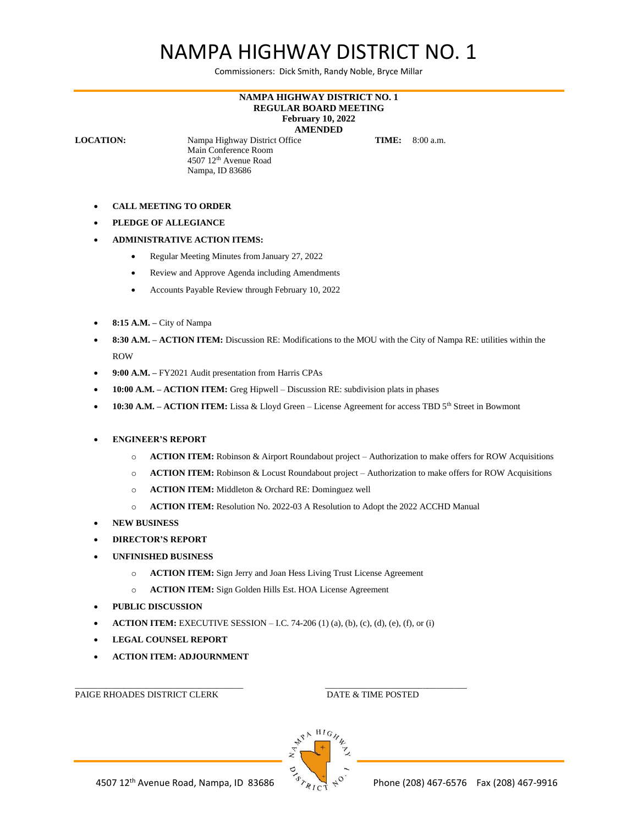## NAMPA HIGHWAY DISTRICT NO. 1

Commissioners: Dick Smith, Randy Noble, Bryce Millar

## **NAMPA HIGHWAY DISTRICT NO. 1 REGULAR BOARD MEETING February 10, 2022 AMENDED**

**LOCATION:** Nampa Highway District Office **TIME:** 8:00 a.m. Main Conference Room 4507 12th Avenue Road Nampa, ID 83686

- **CALL MEETING TO ORDER**
- **PLEDGE OF ALLEGIANCE**
- **ADMINISTRATIVE ACTION ITEMS:**
	- Regular Meeting Minutes from January 27, 2022
	- Review and Approve Agenda including Amendments
	- Accounts Payable Review through February 10, 2022
- **8:15 A.M. –** City of Nampa
- **8:30 A.M. – ACTION ITEM:** Discussion RE: Modifications to the MOU with the City of Nampa RE: utilities within the ROW
- **9:00 A.M. –** FY2021 Audit presentation from Harris CPAs
- **10:00 A.M. – ACTION ITEM:** Greg Hipwell Discussion RE: subdivision plats in phases
- **10:30 A.M. – ACTION ITEM:** Lissa & Lloyd Green License Agreement for access TBD 5th Street in Bowmont
- **ENGINEER'S REPORT**
	- o **ACTION ITEM:** Robinson & Airport Roundabout project Authorization to make offers for ROW Acquisitions
	- o **ACTION ITEM:** Robinson & Locust Roundabout project Authorization to make offers for ROW Acquisitions
	- o **ACTION ITEM:** Middleton & Orchard RE: Dominguez well
	- o **ACTION ITEM:** Resolution No. 2022-03 A Resolution to Adopt the 2022 ACCHD Manual
- **NEW BUSINESS**
- **DIRECTOR'S REPORT**
- **UNFINISHED BUSINESS**
	- o **ACTION ITEM:** Sign Jerry and Joan Hess Living Trust License Agreement
	- o **ACTION ITEM:** Sign Golden Hills Est. HOA License Agreement
- **PUBLIC DISCUSSION**
- **ACTION ITEM:** EXECUTIVE SESSION I.C. 74-206 (1) (a), (b), (c), (d), (e), (f), or (i)
- **LEGAL COUNSEL REPORT**
- **ACTION ITEM: ADJOURNMENT**

PAIGE RHOADES DISTRICT CLERK DATE & TIME POSTED

\_\_\_\_\_\_\_\_\_\_\_\_\_\_\_\_\_\_\_\_\_\_\_\_\_\_\_\_\_\_\_\_\_\_\_\_\_\_ \_\_\_\_\_\_\_\_\_\_\_\_\_\_\_\_\_\_\_\_\_\_\_\_\_\_\_\_\_\_\_\_

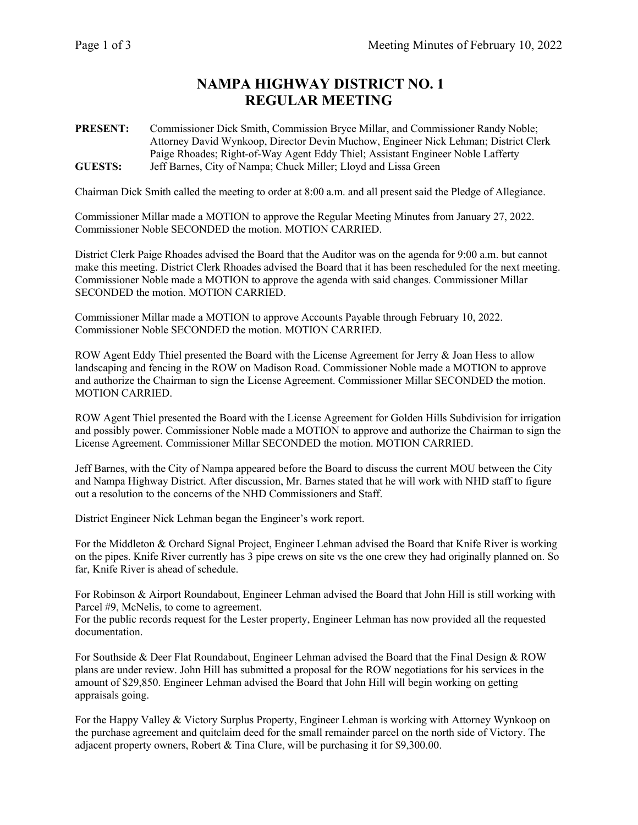## **NAMPA HIGHWAY DISTRICT NO. 1 REGULAR MEETING**

**PRESENT:** Commissioner Dick Smith, Commission Bryce Millar, and Commissioner Randy Noble; Attorney David Wynkoop, Director Devin Muchow, Engineer Nick Lehman; District Clerk Paige Rhoades; Right-of-Way Agent Eddy Thiel; Assistant Engineer Noble Lafferty **GUESTS:** Jeff Barnes, City of Nampa; Chuck Miller; Lloyd and Lissa Green

Chairman Dick Smith called the meeting to order at 8:00 a.m. and all present said the Pledge of Allegiance.

Commissioner Millar made a MOTION to approve the Regular Meeting Minutes from January 27, 2022. Commissioner Noble SECONDED the motion. MOTION CARRIED.

District Clerk Paige Rhoades advised the Board that the Auditor was on the agenda for 9:00 a.m. but cannot make this meeting. District Clerk Rhoades advised the Board that it has been rescheduled for the next meeting. Commissioner Noble made a MOTION to approve the agenda with said changes. Commissioner Millar SECONDED the motion. MOTION CARRIED.

Commissioner Millar made a MOTION to approve Accounts Payable through February 10, 2022. Commissioner Noble SECONDED the motion. MOTION CARRIED.

ROW Agent Eddy Thiel presented the Board with the License Agreement for Jerry & Joan Hess to allow landscaping and fencing in the ROW on Madison Road. Commissioner Noble made a MOTION to approve and authorize the Chairman to sign the License Agreement. Commissioner Millar SECONDED the motion. MOTION CARRIED.

ROW Agent Thiel presented the Board with the License Agreement for Golden Hills Subdivision for irrigation and possibly power. Commissioner Noble made a MOTION to approve and authorize the Chairman to sign the License Agreement. Commissioner Millar SECONDED the motion. MOTION CARRIED.

Jeff Barnes, with the City of Nampa appeared before the Board to discuss the current MOU between the City and Nampa Highway District. After discussion, Mr. Barnes stated that he will work with NHD staff to figure out a resolution to the concerns of the NHD Commissioners and Staff.

District Engineer Nick Lehman began the Engineer's work report.

For the Middleton & Orchard Signal Project, Engineer Lehman advised the Board that Knife River is working on the pipes. Knife River currently has 3 pipe crews on site vs the one crew they had originally planned on. So far, Knife River is ahead of schedule.

For Robinson & Airport Roundabout, Engineer Lehman advised the Board that John Hill is still working with Parcel #9, McNelis, to come to agreement.

For the public records request for the Lester property, Engineer Lehman has now provided all the requested documentation.

For Southside & Deer Flat Roundabout, Engineer Lehman advised the Board that the Final Design & ROW plans are under review. John Hill has submitted a proposal for the ROW negotiations for his services in the amount of \$29,850. Engineer Lehman advised the Board that John Hill will begin working on getting appraisals going.

For the Happy Valley & Victory Surplus Property, Engineer Lehman is working with Attorney Wynkoop on the purchase agreement and quitclaim deed for the small remainder parcel on the north side of Victory. The adjacent property owners, Robert & Tina Clure, will be purchasing it for \$9,300.00.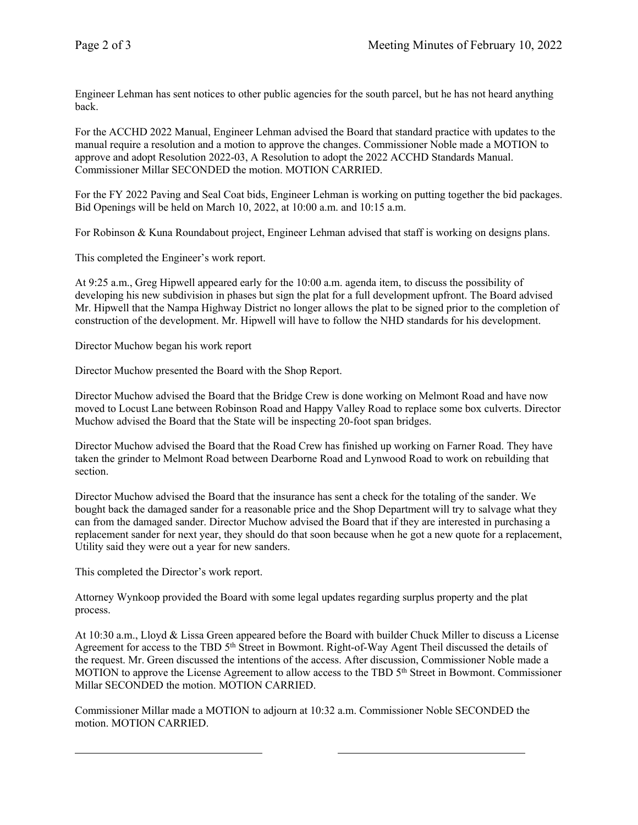Engineer Lehman has sent notices to other public agencies for the south parcel, but he has not heard anything back.

For the ACCHD 2022 Manual, Engineer Lehman advised the Board that standard practice with updates to the manual require a resolution and a motion to approve the changes. Commissioner Noble made a MOTION to approve and adopt Resolution 2022-03, A Resolution to adopt the 2022 ACCHD Standards Manual. Commissioner Millar SECONDED the motion. MOTION CARRIED.

For the FY 2022 Paving and Seal Coat bids, Engineer Lehman is working on putting together the bid packages. Bid Openings will be held on March 10, 2022, at 10:00 a.m. and 10:15 a.m.

For Robinson & Kuna Roundabout project, Engineer Lehman advised that staff is working on designs plans.

This completed the Engineer's work report.

At 9:25 a.m., Greg Hipwell appeared early for the 10:00 a.m. agenda item, to discuss the possibility of developing his new subdivision in phases but sign the plat for a full development upfront. The Board advised Mr. Hipwell that the Nampa Highway District no longer allows the plat to be signed prior to the completion of construction of the development. Mr. Hipwell will have to follow the NHD standards for his development.

Director Muchow began his work report

Director Muchow presented the Board with the Shop Report.

Director Muchow advised the Board that the Bridge Crew is done working on Melmont Road and have now moved to Locust Lane between Robinson Road and Happy Valley Road to replace some box culverts. Director Muchow advised the Board that the State will be inspecting 20-foot span bridges.

Director Muchow advised the Board that the Road Crew has finished up working on Farner Road. They have taken the grinder to Melmont Road between Dearborne Road and Lynwood Road to work on rebuilding that section.

Director Muchow advised the Board that the insurance has sent a check for the totaling of the sander. We bought back the damaged sander for a reasonable price and the Shop Department will try to salvage what they can from the damaged sander. Director Muchow advised the Board that if they are interested in purchasing a replacement sander for next year, they should do that soon because when he got a new quote for a replacement, Utility said they were out a year for new sanders.

This completed the Director's work report.

Attorney Wynkoop provided the Board with some legal updates regarding surplus property and the plat process.

At 10:30 a.m., Lloyd & Lissa Green appeared before the Board with builder Chuck Miller to discuss a License Agreement for access to the TBD 5<sup>th</sup> Street in Bowmont. Right-of-Way Agent Theil discussed the details of the request. Mr. Green discussed the intentions of the access. After discussion, Commissioner Noble made a MOTION to approve the License Agreement to allow access to the TBD 5<sup>th</sup> Street in Bowmont. Commissioner Millar SECONDED the motion. MOTION CARRIED.

Commissioner Millar made a MOTION to adjourn at 10:32 a.m. Commissioner Noble SECONDED the motion. MOTION CARRIED.